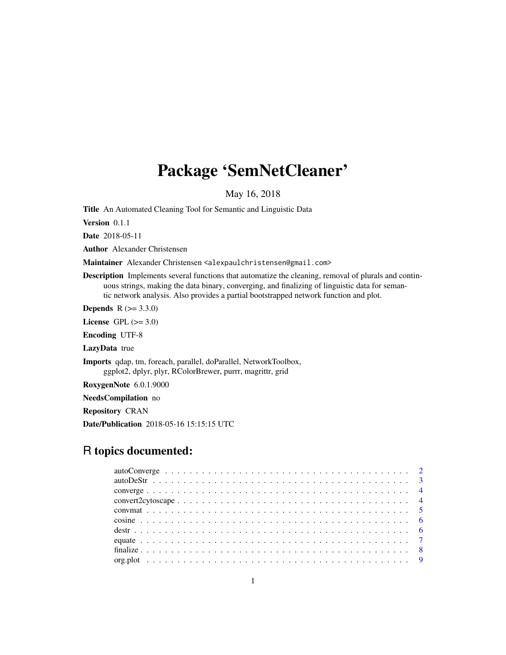## Package 'SemNetCleaner'

May 16, 2018

<span id="page-0-0"></span>Title An Automated Cleaning Tool for Semantic and Linguistic Data

Version 0.1.1

Date 2018-05-11

Author Alexander Christensen

Maintainer Alexander Christensen <alexpaulchristensen@gmail.com>

Description Implements several functions that automatize the cleaning, removal of plurals and continuous strings, making the data binary, converging, and finalizing of linguistic data for semantic network analysis. Also provides a partial bootstrapped network function and plot.

**Depends** R  $(>= 3.3.0)$ 

License GPL  $(>= 3.0)$ 

Encoding UTF-8

LazyData true

Imports qdap, tm, foreach, parallel, doParallel, NetworkToolbox, ggplot2, dplyr, plyr, RColorBrewer, purrr, magrittr, grid

RoxygenNote 6.0.1.9000

NeedsCompilation no

Repository CRAN

Date/Publication 2018-05-16 15:15:15 UTC

## R topics documented: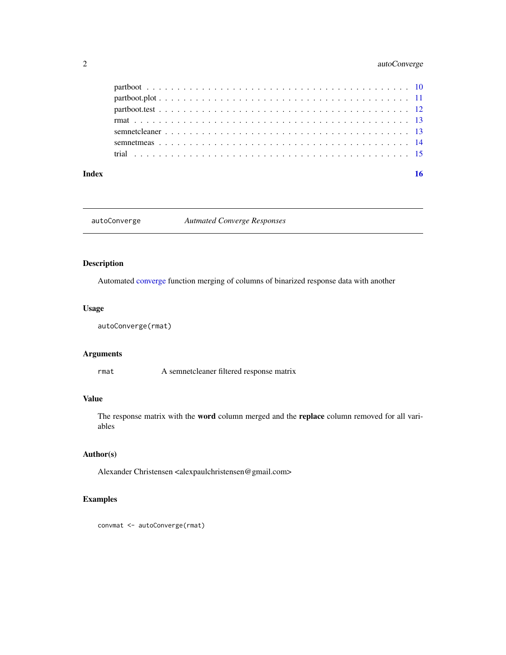## <span id="page-1-0"></span>2 autoConverge

#### **Index** and the contract of the contract of the contract of the contract of the contract of the contract of the contract of the contract of the contract of the contract of the contract of the contract of the contract of th

autoConverge *Autmated Converge Responses*

## Description

Automated [converge](#page-3-1) function merging of columns of binarized response data with another

## Usage

```
autoConverge(rmat)
```
## Arguments

rmat A semnetcleaner filtered response matrix

## Value

The response matrix with the word column merged and the replace column removed for all variables

## Author(s)

Alexander Christensen <alexpaulchristensen@gmail.com>

## Examples

convmat <- autoConverge(rmat)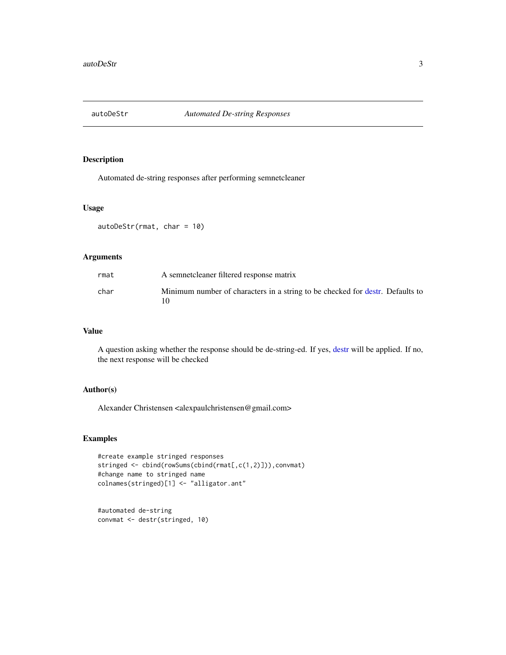<span id="page-2-0"></span>

Automated de-string responses after performing semnetcleaner

#### Usage

```
autoDeStr(rmat, char = 10)
```
#### Arguments

| rmat | A semnet cleaner filtered response matrix                                     |
|------|-------------------------------------------------------------------------------|
| char | Minimum number of characters in a string to be checked for destr. Defaults to |

#### Value

A question asking whether the response should be de-string-ed. If yes, [destr](#page-5-1) will be applied. If no, the next response will be checked

#### Author(s)

Alexander Christensen <alexpaulchristensen@gmail.com>

#### Examples

```
#create example stringed responses
stringed <- cbind(rowSums(cbind(rmat[,c(1,2)])),convmat)
#change name to stringed name
colnames(stringed)[1] <- "alligator.ant"
```
#automated de-string convmat <- destr(stringed, 10)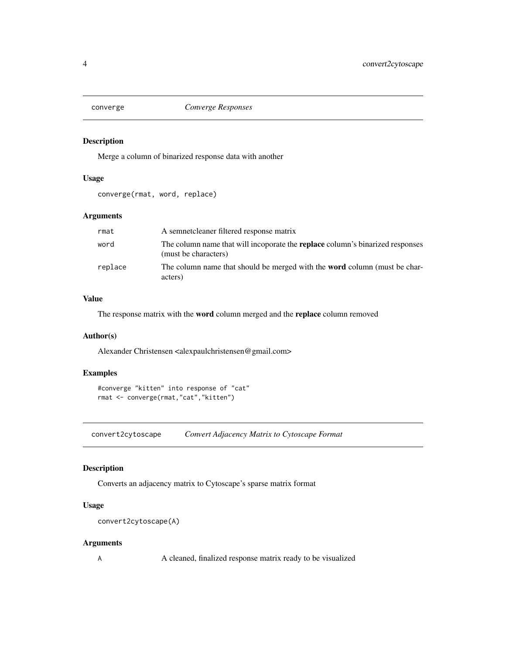<span id="page-3-1"></span><span id="page-3-0"></span>

Merge a column of binarized response data with another

#### Usage

converge(rmat, word, replace)

#### Arguments

| rmat    | A semnetcleaner filtered response matrix                                                                     |
|---------|--------------------------------------------------------------------------------------------------------------|
| word    | The column name that will incoporate the <b>replace</b> column's binarized responses<br>(must be characters) |
| replace | The column name that should be merged with the <b>word</b> column (must be char-<br>acters)                  |

#### Value

The response matrix with the word column merged and the replace column removed

#### Author(s)

Alexander Christensen <alexpaulchristensen@gmail.com>

## Examples

```
#converge "kitten" into response of "cat"
rmat <- converge(rmat,"cat","kitten")
```
convert2cytoscape *Convert Adjacency Matrix to Cytoscape Format*

## Description

Converts an adjacency matrix to Cytoscape's sparse matrix format

## Usage

```
convert2cytoscape(A)
```
#### Arguments

A A cleaned, finalized response matrix ready to be visualized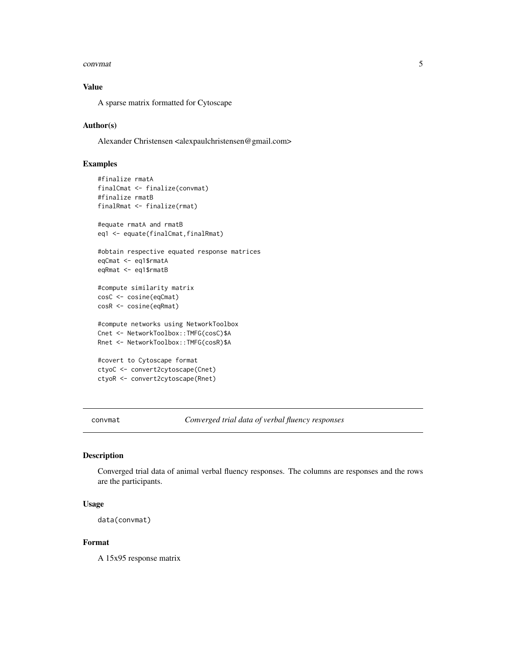#### <span id="page-4-0"></span>convmat 5

## Value

A sparse matrix formatted for Cytoscape

#### Author(s)

Alexander Christensen <alexpaulchristensen@gmail.com>

## Examples

```
#finalize rmatA
finalCmat <- finalize(convmat)
#finalize rmatB
finalRmat <- finalize(rmat)
#equate rmatA and rmatB
eq1 <- equate(finalCmat,finalRmat)
#obtain respective equated response matrices
eqCmat <- eq1$rmatA
eqRmat <- eq1$rmatB
#compute similarity matrix
cosC <- cosine(eqCmat)
cosR <- cosine(eqRmat)
#compute networks using NetworkToolbox
Cnet <- NetworkToolbox::TMFG(cosC)$A
Rnet <- NetworkToolbox::TMFG(cosR)$A
#covert to Cytoscape format
ctyoC <- convert2cytoscape(Cnet)
ctyoR <- convert2cytoscape(Rnet)
```
convmat *Converged trial data of verbal fluency responses*

#### Description

Converged trial data of animal verbal fluency responses. The columns are responses and the rows are the participants.

#### Usage

```
data(convmat)
```
#### Format

A 15x95 response matrix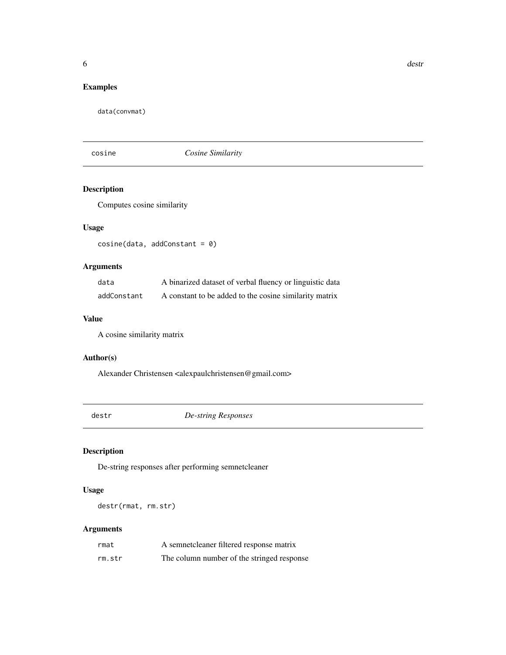## <span id="page-5-0"></span>Examples

data(convmat)

cosine *Cosine Similarity*

## Description

Computes cosine similarity

## Usage

cosine(data, addConstant = 0)

## Arguments

| data        | A binarized dataset of verbal fluency or linguistic data |
|-------------|----------------------------------------------------------|
| addConstant | A constant to be added to the cosine similarity matrix   |

## Value

A cosine similarity matrix

#### Author(s)

Alexander Christensen <alexpaulchristensen@gmail.com>

<span id="page-5-1"></span>destr *De-string Responses*

## Description

De-string responses after performing semnetcleaner

## Usage

destr(rmat, rm.str)

## Arguments

| rmat   | A semnetcleaner filtered response matrix   |
|--------|--------------------------------------------|
| rm.str | The column number of the stringed response |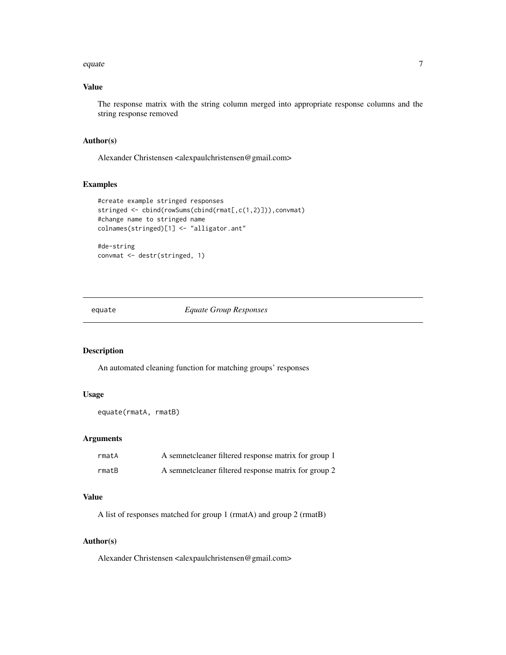#### <span id="page-6-0"></span>equate the contract of the contract of the contract of the contract of the contract of the contract of the contract of the contract of the contract of the contract of the contract of the contract of the contract of the con

## Value

The response matrix with the string column merged into appropriate response columns and the string response removed

## Author(s)

Alexander Christensen <alexpaulchristensen@gmail.com>

#### Examples

```
#create example stringed responses
stringed <- cbind(rowSums(cbind(rmat[,c(1,2)])),convmat)
#change name to stringed name
colnames(stringed)[1] <- "alligator.ant"
#de-string
```
convmat <- destr(stringed, 1)

equate *Equate Group Responses*

## Description

An automated cleaning function for matching groups' responses

#### Usage

```
equate(rmatA, rmatB)
```
#### Arguments

| rmatA | A semnetcleaner filtered response matrix for group 1 |
|-------|------------------------------------------------------|
| rmatB | A semnetcleaner filtered response matrix for group 2 |

#### Value

A list of responses matched for group 1 (rmatA) and group 2 (rmatB)

#### Author(s)

Alexander Christensen <alexpaulchristensen@gmail.com>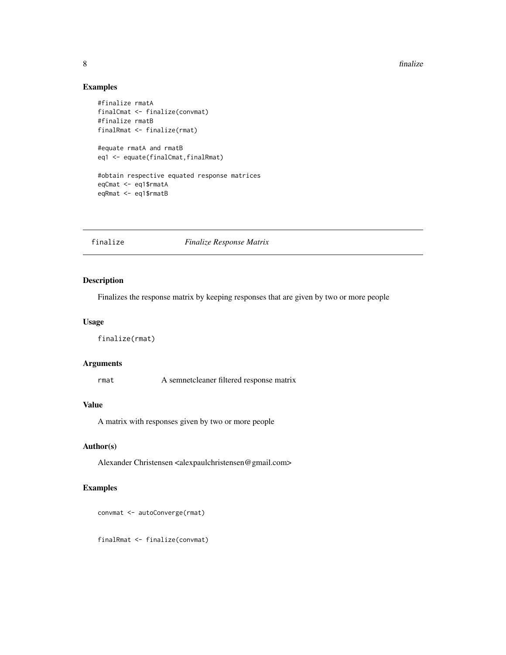#### 8 finalize

## Examples

```
#finalize rmatA
finalCmat <- finalize(convmat)
#finalize rmatB
finalRmat <- finalize(rmat)
#equate rmatA and rmatB
eq1 <- equate(finalCmat,finalRmat)
#obtain respective equated response matrices
eqCmat <- eq1$rmatA
eqRmat <- eq1$rmatB
```
#### finalize *Finalize Response Matrix*

## Description

Finalizes the response matrix by keeping responses that are given by two or more people

#### Usage

finalize(rmat)

## Arguments

rmat A semnetcleaner filtered response matrix

## Value

A matrix with responses given by two or more people

## Author(s)

Alexander Christensen <alexpaulchristensen@gmail.com>

## Examples

```
convmat <- autoConverge(rmat)
```
finalRmat <- finalize(convmat)

<span id="page-7-0"></span>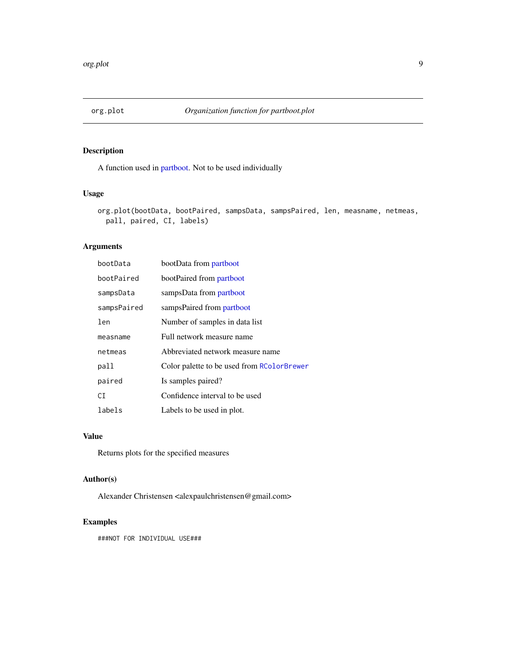<span id="page-8-0"></span>

A function used in [partboot.](#page-9-1) Not to be used individually

## Usage

```
org.plot(bootData, bootPaired, sampsData, sampsPaired, len, measname, netmeas,
 pall, paired, CI, labels)
```
## Arguments

| bootData    | bootData from partboot                     |
|-------------|--------------------------------------------|
| bootPaired  | bootPaired from partboot                   |
| sampsData   | sampsData from partboot                    |
| sampsPaired | sampsPaired from partboot                  |
| len         | Number of samples in data list             |
| measname    | Full network measure name                  |
| netmeas     | Abbreviated network measure name           |
| pall        | Color palette to be used from RColorBrewer |
| paired      | Is samples paired?                         |
| СI          | Confidence interval to be used             |
| labels      | Labels to be used in plot.                 |

## Value

Returns plots for the specified measures

#### Author(s)

Alexander Christensen <alexpaulchristensen@gmail.com>

## Examples

###NOT FOR INDIVIDUAL USE###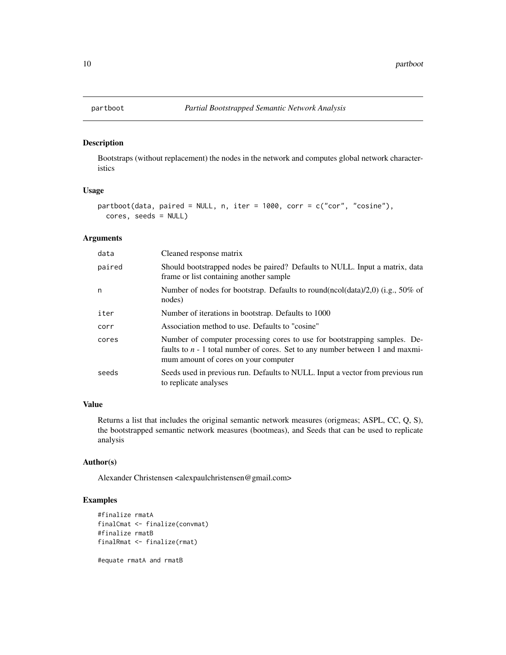<span id="page-9-1"></span><span id="page-9-0"></span>

Bootstraps (without replacement) the nodes in the network and computes global network characteristics

## Usage

```
partboot(data, paired = NULL, n, iter = 1000, corr = c("cor", "cosine"),
 cores, seeds = NULL)
```
#### Arguments

| data   | Cleaned response matrix                                                                                                                                                                              |
|--------|------------------------------------------------------------------------------------------------------------------------------------------------------------------------------------------------------|
| paired | Should bootstrapped nodes be paired? Defaults to NULL. Input a matrix, data<br>frame or list containing another sample                                                                               |
| n      | Number of nodes for bootstrap. Defaults to round(ncol(data)/2,0) (i.g., 50% of<br>nodes)                                                                                                             |
| iter   | Number of iterations in bootstrap. Defaults to 1000                                                                                                                                                  |
| corr   | Association method to use. Defaults to "cosine"                                                                                                                                                      |
| cores  | Number of computer processing cores to use for bootstrapping samples. De-<br>faults to $n - 1$ total number of cores. Set to any number between 1 and maxmi-<br>mum amount of cores on your computer |
| seeds  | Seeds used in previous run. Defaults to NULL. Input a vector from previous run<br>to replicate analyses                                                                                              |

## Value

Returns a list that includes the original semantic network measures (origmeas; ASPL, CC, Q, S), the bootstrapped semantic network measures (bootmeas), and Seeds that can be used to replicate analysis

#### Author(s)

Alexander Christensen <alexpaulchristensen@gmail.com>

#### Examples

```
#finalize rmatA
finalCmat <- finalize(convmat)
#finalize rmatB
finalRmat <- finalize(rmat)
```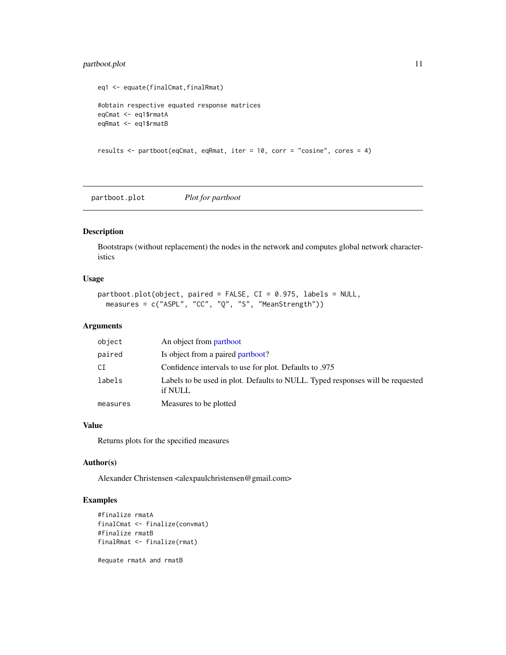## <span id="page-10-0"></span>partboot.plot 11

```
eq1 <- equate(finalCmat,finalRmat)
#obtain respective equated response matrices
eqCmat <- eq1$rmatA
eqRmat <- eq1$rmatB
results <- partboot(eqCmat, eqRmat, iter = 10, corr = "cosine", cores = 4)
```
partboot.plot *Plot for partboot*

## Description

Bootstraps (without replacement) the nodes in the network and computes global network characteristics

#### Usage

```
partboot.plot(object, paired = FALSE, CI = 0.975, labels = NULL,
 measures = c("ASPL", "CC", "Q", "S", "MeanStrength"))
```
#### Arguments

| object   | An object from partboot                                                                   |
|----------|-------------------------------------------------------------------------------------------|
| paired   | Is object from a paired partboot?                                                         |
| СI       | Confidence intervals to use for plot. Defaults to .975                                    |
| labels   | Labels to be used in plot. Defaults to NULL. Typed responses will be requested<br>if NULL |
| measures | Measures to be plotted                                                                    |

#### Value

Returns plots for the specified measures

#### Author(s)

Alexander Christensen <alexpaulchristensen@gmail.com>

#### Examples

```
#finalize rmatA
finalCmat <- finalize(convmat)
#finalize rmatB
finalRmat <- finalize(rmat)
```
#equate rmatA and rmatB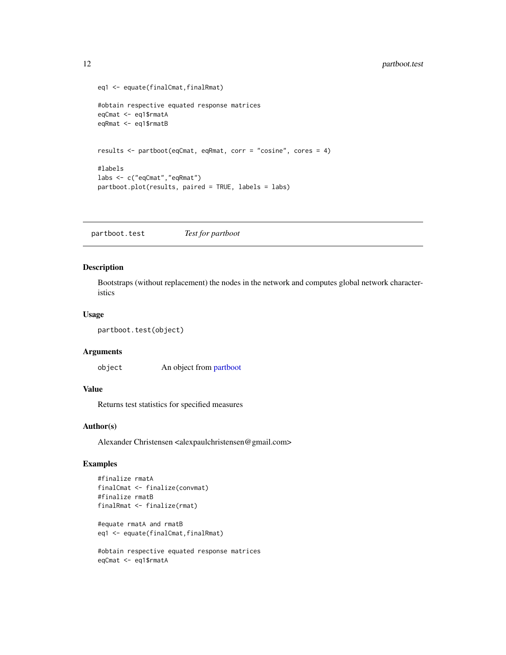```
eq1 <- equate(finalCmat,finalRmat)
#obtain respective equated response matrices
eqCmat <- eq1$rmatA
eqRmat <- eq1$rmatB
results <- partboot(eqCmat, eqRmat, corr = "cosine", cores = 4)
#labels
labs <- c("eqCmat","eqRmat")
partboot.plot(results, paired = TRUE, labels = labs)
```
partboot.test *Test for partboot*

#### Description

Bootstraps (without replacement) the nodes in the network and computes global network characteristics

#### Usage

```
partboot.test(object)
```
#### Arguments

object An object from [partboot](#page-9-1)

## Value

Returns test statistics for specified measures

#### Author(s)

Alexander Christensen <alexpaulchristensen@gmail.com>

#### Examples

```
#finalize rmatA
finalCmat <- finalize(convmat)
#finalize rmatB
finalRmat <- finalize(rmat)
#equate rmatA and rmatB
eq1 <- equate(finalCmat,finalRmat)
#obtain respective equated response matrices
```

```
eqCmat <- eq1$rmatA
```
<span id="page-11-0"></span>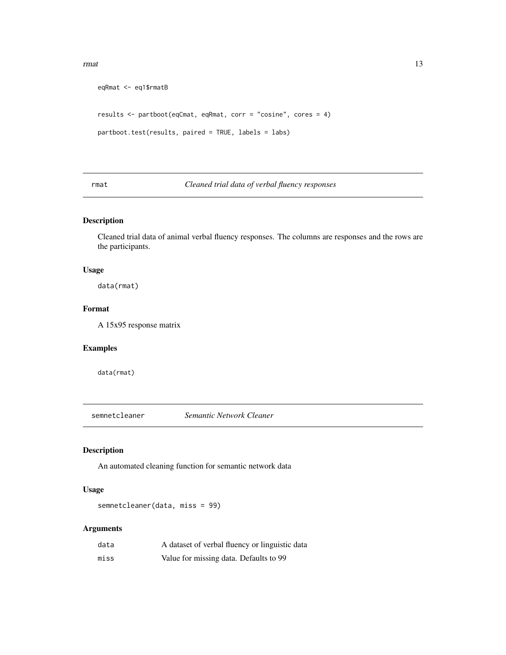#### <span id="page-12-0"></span>rmat 13

```
eqRmat <- eq1$rmatB
results <- partboot(eqCmat, eqRmat, corr = "cosine", cores = 4)
partboot.test(results, paired = TRUE, labels = labs)
```
## rmat *Cleaned trial data of verbal fluency responses*

## Description

Cleaned trial data of animal verbal fluency responses. The columns are responses and the rows are the participants.

## Usage

data(rmat)

## Format

A 15x95 response matrix

## Examples

data(rmat)

semnetcleaner *Semantic Network Cleaner*

## Description

An automated cleaning function for semantic network data

#### Usage

semnetcleaner(data, miss = 99)

#### Arguments

| data | A dataset of verbal fluency or linguistic data |
|------|------------------------------------------------|
| miss | Value for missing data. Defaults to 99         |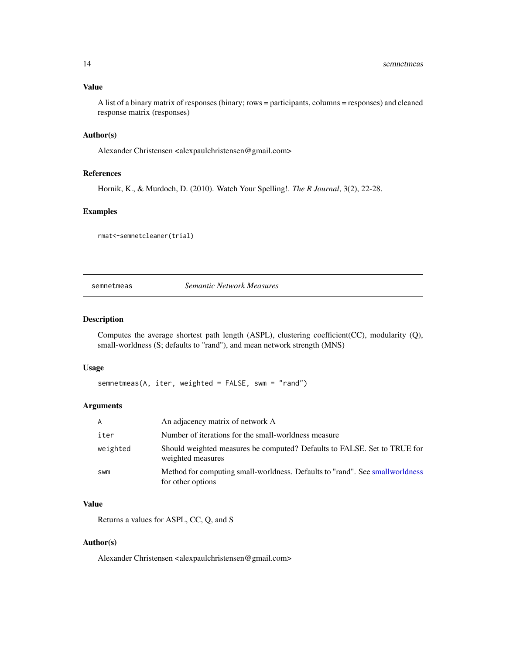<span id="page-13-0"></span>A list of a binary matrix of responses (binary; rows = participants, columns = responses) and cleaned response matrix (responses)

#### Author(s)

Alexander Christensen <alexpaulchristensen@gmail.com>

#### References

Hornik, K., & Murdoch, D. (2010). Watch Your Spelling!. *The R Journal*, 3(2), 22-28.

#### Examples

rmat<-semnetcleaner(trial)

semnetmeas *Semantic Network Measures*

#### Description

Computes the average shortest path length (ASPL), clustering coefficient(CC), modularity (Q), small-worldness (S; defaults to "rand"), and mean network strength (MNS)

## Usage

```
semnetmeas(A, iter, weighted = FALSE, swm = "rand")
```
#### Arguments

| $\mathsf{A}$ | An adjacency matrix of network A                                                                  |
|--------------|---------------------------------------------------------------------------------------------------|
| iter         | Number of iterations for the small-worldness measure                                              |
| weighted     | Should weighted measures be computed? Defaults to FALSE. Set to TRUE for<br>weighted measures     |
| <b>SWM</b>   | Method for computing small-worldness. Defaults to "rand". See smallworldness<br>for other options |

#### Value

Returns a values for ASPL, CC, Q, and S

#### Author(s)

Alexander Christensen <alexpaulchristensen@gmail.com>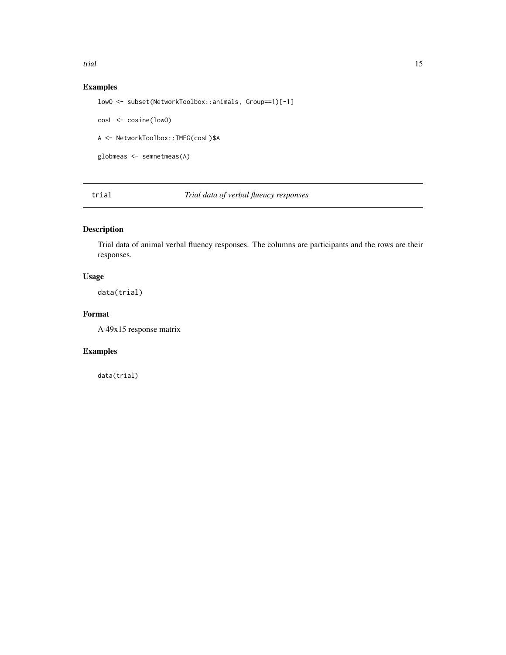<span id="page-14-0"></span>trial the contract of the contract of the contract of the contract of the contract of the contract of the contract of the contract of the contract of the contract of the contract of the contract of the contract of the cont

## Examples

```
lowO <- subset(NetworkToolbox::animals, Group==1)[-1]
cosL <- cosine(lowO)
A <- NetworkToolbox::TMFG(cosL)$A
globmeas <- semnetmeas(A)
```
trial *Trial data of verbal fluency responses*

## Description

Trial data of animal verbal fluency responses. The columns are participants and the rows are their responses.

## Usage

data(trial)

## Format

A 49x15 response matrix

## Examples

data(trial)